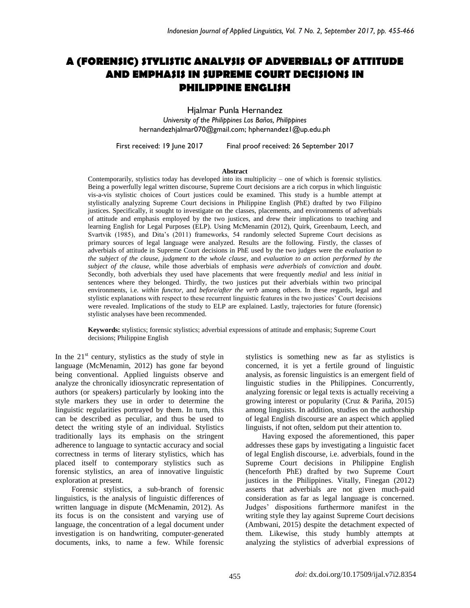# **A (FORENSIC) STYLISTIC ANALYSIS OF ADVERBIALS OF ATTITUDE AND EMPHASIS IN SUPREME COURT DECISIONS IN PHILIPPINE ENGLISH**

Hjalmar Punla Hernandez *University of the Philippines Los Baños, Philippines* hernandezhjalmar070@gmail.com; hphernandez1@up.edu.ph

First received: 19 June 2017 Final proof received: 26 September 2017

#### **Abstract**

Contemporarily, stylistics today has developed into its multiplicity – one of which is forensic stylistics. Being a powerfully legal written discourse, Supreme Court decisions are a rich corpus in which linguistic vis-a-vis stylistic choices of Court justices could be examined. This study is a humble attempt at stylistically analyzing Supreme Court decisions in Philippine English (PhE) drafted by two Filipino justices. Specifically, it sought to investigate on the classes, placements, and environments of adverbials of attitude and emphasis employed by the two justices, and drew their implications to teaching and learning English for Legal Purposes (ELP). Using McMenamin (2012), Quirk, Greenbaum, Leech, and Svartvik (1985), and Dita's (2011) frameworks, 54 randomly selected Supreme Court decisions as primary sources of legal language were analyzed. Results are the following. Firstly, the classes of adverbials of attitude in Supreme Court decisions in PhE used by the two judges were the *evaluation to the subject of the clause, judgment to the whole clause,* and *evaluation to an action performed by the subject of the clause,* while those adverbials of emphasis *were adverbials* of *conviction* and *doubt*. Secondly, both adverbials they used have placements that were frequently *medial* and less *initial* in sentences where they belonged. Thirdly, the two justices put their adverbials within two principal environments, i.e. *within functor,* and *before/after the verb* among others. In these regards, legal and stylistic explanations with respect to these recurrent linguistic features in the two justices' Court decisions were revealed. Implications of the study to ELP are explained. Lastly, trajectories for future (forensic) stylistic analyses have been recommended.

**Keywords:** stylistics; forensic stylistics; adverbial expressions of attitude and emphasis; Supreme Court decisions; Philippine English

In the  $21<sup>st</sup>$  century, stylistics as the study of style in language (McMenamin, 2012) has gone far beyond being conventional. Applied linguists observe and analyze the chronically idiosyncratic representation of authors (or speakers) particularly by looking into the style markers they use in order to determine the linguistic regularities portrayed by them. In turn, this can be described as peculiar, and thus be used to detect the writing style of an individual. Stylistics traditionally lays its emphasis on the stringent adherence to language to syntactic accuracy and social correctness in terms of literary stylistics, which has placed itself to contemporary stylistics such as forensic stylistics, an area of innovative linguistic exploration at present.

Forensic stylistics, a sub-branch of forensic linguistics, is the analysis of linguistic differences of written language in dispute (McMenamin, 2012). As its focus is on the consistent and varying use of language, the concentration of a legal document under investigation is on handwriting, computer-generated documents, inks, to name a few. While forensic stylistics is something new as far as stylistics is concerned, it is yet a fertile ground of linguistic analysis, as forensic linguistics is an emergent field of linguistic studies in the Philippines. Concurrently, analyzing forensic or legal texts is actually receiving a growing interest or popularity (Cruz & Pariña, 2015) among linguists. In addition, studies on the authorship of legal English discourse are an aspect which applied linguists, if not often, seldom put their attention to.

Having exposed the aforementioned, this paper addresses these gaps by investigating a linguistic facet of legal English discourse, i.e. adverbials, found in the Supreme Court decisions in Philippine English (henceforth PhE) drafted by two Supreme Court justices in the Philippines. Vitally, Finegan (2012) asserts that adverbials are not given much-paid consideration as far as legal language is concerned. Judges' dispositions furthermore manifest in the writing style they lay against Supreme Court decisions (Ambwani, 2015) despite the detachment expected of them. Likewise, this study humbly attempts at analyzing the stylistics of adverbial expressions of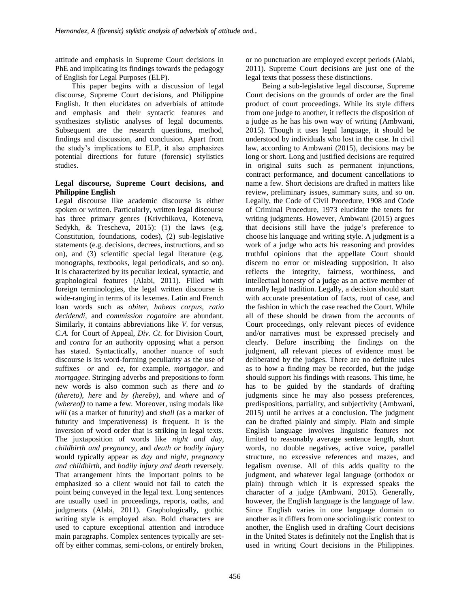attitude and emphasis in Supreme Court decisions in PhE and implicating its findings towards the pedagogy of English for Legal Purposes (ELP).

This paper begins with a discussion of legal discourse, Supreme Court decisions, and Philippine English. It then elucidates on adverbials of attitude and emphasis and their syntactic features and synthesizes stylistic analyses of legal documents. Subsequent are the research questions, method, findings and discussion, and conclusion. Apart from the study's implications to ELP, it also emphasizes potential directions for future (forensic) stylistics studies.

### **Legal discourse, Supreme Court decisions, and Philippine English**

Legal discourse like academic discourse is either spoken or written. Particularly, written legal discourse has three primary genres (Krivchikova, Koteneva, Sedykh, & Trescheva, 2015): (1) the laws (e.g. Constitution, foundations, codes), (2) sub-legislative statements (e.g. decisions, decrees, instructions, and so on), and (3) scientific special legal literature (e.g. monographs, textbooks, legal periodicals, and so on). It is characterized by its peculiar lexical, syntactic, and graphological features (Alabi, 2011). Filled with foreign terminologies, the legal written discourse is wide-ranging in terms of its lexemes. Latin and French loan words such as *obiter, habeas corpus, ratio decidendi,* and *commission rogatoire* are abundant. Similarly, it contains abbreviations like *V.* for versus, *C.A.* for Court of Appeal, *Div. Ct*. for Division Court, and *contra* for an authority opposing what a person has stated. Syntactically, another nuance of such discourse is its word-forming peculiarity as the use of suffixes *–or* and *–ee,* for example, *mortgagor*, and *mortgagee*. Stringing adverbs and prepositions to form new words is also common such as *there* and *to (thereto), here* and *by (hereby),* and *where* and *of (whereof)* to name a few. Moreover, using modals like *will* (as a marker of futurity) and *shall* (as a marker of futurity and imperativeness) is frequent. It is the inversion of word order that is striking in legal texts. The juxtaposition of words like *night and day, childbirth and pregnancy,* and *death or bodily injury* would typically appear as *day and night, pregnancy and childbirth,* and *bodily injury and death* reversely. That arrangement hints the important points to be emphasized so a client would not fail to catch the point being conveyed in the legal text. Long sentences are usually used in proceedings, reports, oaths, and judgments (Alabi, 2011). Graphologically, gothic writing style is employed also. Bold characters are used to capture exceptional attention and introduce main paragraphs. Complex sentences typically are setoff by either commas, semi-colons, or entirely broken,

or no punctuation are employed except periods (Alabi, 2011). Supreme Court decisions are just one of the legal texts that possess these distinctions.

Being a sub-legislative legal discourse, Supreme Court decisions on the grounds of order are the final product of court proceedings. While its style differs from one judge to another, it reflects the disposition of a judge as he has his own way of writing (Ambwani, 2015). Though it uses legal language, it should be understood by individuals who lost in the case. In civil law, according to Ambwani (2015), decisions may be long or short. Long and justified decisions are required in original suits such as permanent injunctions, contract performance, and document cancellations to name a few. Short decisions are drafted in matters like review, preliminary issues, summary suits, and so on. Legally, the Code of Civil Procedure, 1908 and Code of Criminal Procedure, 1973 elucidate the tenets for writing judgments. However, Ambwani (2015) argues that decisions still have the judge's preference to choose his language and writing style. A judgment is a work of a judge who acts his reasoning and provides truthful opinions that the appellate Court should discern no error or misleading supposition. It also reflects the integrity, fairness, worthiness, and intellectual honesty of a judge as an active member of morally legal tradition. Legally, a decision should start with accurate presentation of facts, root of case, and the fashion in which the case reached the Court. While all of these should be drawn from the accounts of Court proceedings, only relevant pieces of evidence and/or narratives must be expressed precisely and clearly. Before inscribing the findings on the judgment, all relevant pieces of evidence must be deliberated by the judges. There are no definite rules as to how a finding may be recorded, but the judge should support his findings with reasons. This time, he has to be guided by the standards of drafting judgments since he may also possess preferences, predispositions, partiality, and subjectivity (Ambwani, 2015) until he arrives at a conclusion. The judgment can be drafted plainly and simply. Plain and simple English language involves linguistic features not limited to reasonably average sentence length, short words, no double negatives, active voice, parallel structure, no excessive references and mazes, and legalism overuse. All of this adds quality to the judgment, and whatever legal language (orthodox or plain) through which it is expressed speaks the character of a judge (Ambwani, 2015). Generally, however, the English language is the language of law. Since English varies in one language domain to another as it differs from one sociolinguistic context to another, the English used in drafting Court decisions in the United States is definitely not the English that is used in writing Court decisions in the Philippines.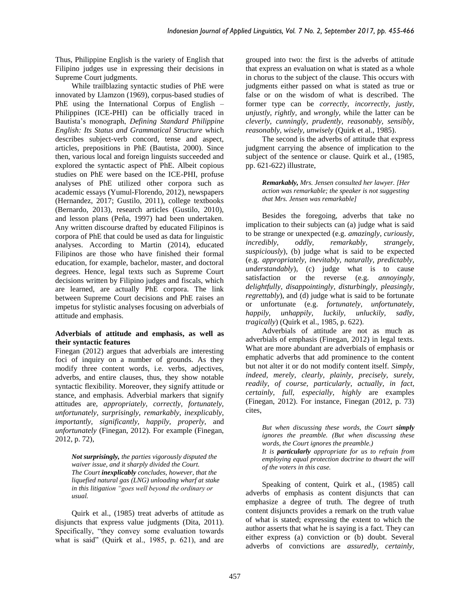Thus, Philippine English is the variety of English that Filipino judges use in expressing their decisions in Supreme Court judgments.

While trailblazing syntactic studies of PhE were innovated by Llamzon (1969), corpus-based studies of PhE using the International Corpus of English – Philippines (ICE-PHI) can be officially traced in Bautista's monograph, *Defining Standard Philippine English: Its Status and Grammatical Structure* which describes subject-verb concord, tense and aspect, articles, prepositions in PhE (Bautista, 2000). Since then, various local and foreign linguists succeeded and explored the syntactic aspect of PhE. Albeit copious studies on PhE were based on the ICE-PHI, profuse analyses of PhE utilized other corpora such as academic essays (Yumul-Florendo, 2012), newspapers (Hernandez, 2017; Gustilo, 2011), college textbooks (Bernardo, 2013), research articles (Gustilo, 2010), and lesson plans (Peña, 1997) had been undertaken. Any written discourse drafted by educated Filipinos is corpora of PhE that could be used as data for linguistic analyses. According to Martin (2014), educated Filipinos are those who have finished their formal education, for example, bachelor, master, and doctoral degrees. Hence, legal texts such as Supreme Court decisions written by Filipino judges and fiscals, which are learned, are actually PhE corpora. The link between Supreme Court decisions and PhE raises an impetus for stylistic analyses focusing on adverbials of attitude and emphasis.

### **Adverbials of attitude and emphasis, as well as their syntactic features**

Finegan (2012) argues that adverbials are interesting foci of inquiry on a number of grounds. As they modify three content words, i.e. verbs, adjectives, adverbs, and entire clauses, thus, they show notable syntactic flexibility. Moreover, they signify attitude or stance, and emphasis. Adverbial markers that signify attitudes are, *appropriately, correctly, fortunately, unfortunately, surprisingly, remarkably, inexplicably, importantly, significantly, happily, properly*, and *unfortunately* (Finegan, 2012). For example (Finegan, 2012, p. 72),

*Not surprisingly, the parties vigorously disputed the waiver issue, and it sharply divided the Court. The Court inexplicably concludes, however, that the liquefied natural gas (LNG) unloading wharf at stake in this litigation "goes well beyond the ordinary or usual.*

Quirk et al., (1985) treat adverbs of attitude as disjuncts that express value judgments (Dita, 2011). Specifically, "they convey some evaluation towards what is said" (Quirk et al., 1985, p. 621), and are

grouped into two: the first is the adverbs of attitude that express an evaluation on what is stated as a whole in chorus to the subject of the clause. This occurs with judgments either passed on what is stated as true or false or on the wisdom of what is described. The former type can be *correctly, incorrectly, justly, unjustly, rightly,* and *wrongly,* while the latter can be *cleverly, cunningly, prudently, reasonably, sensibly, reasonably, wisely, unwisely* (Quirk et al., 1985).

The second is the adverbs of attitude that express judgment carrying the absence of implication to the subject of the sentence or clause. Quirk et al., (1985, pp. 621-622) illustrate,

*Remarkably, Mrs. Jensen consulted her lawyer. [Her action was remarkable; the speaker is not suggesting that Mrs. Jensen was remarkable]*

Besides the foregoing, adverbs that take no implication to their subjects can (a) judge what is said to be strange or unexpected (e.g. *amazingly, curiously, incredibly, oddly, remarkably, strangely, suspiciously*), (b) judge what is said to be expected (e.g. *appropriately, inevitably, naturally, predictably, understandably*), (c) judge what is to cause satisfaction or the reverse (e.g. *annoyingly, delightfully, disappointingly, disturbingly, pleasingly, regrettably*), and (d) judge what is said to be fortunate or unfortunate (e.g. *fortunately, unfortunately, happily, unhappily, luckily, unluckily, sadly, tragically*) (Quirk et al., 1985, p. 622).

Adverbials of attitude are not as much as adverbials of emphasis (Finegan, 2012) in legal texts. What are more abundant are adverbials of emphasis or emphatic adverbs that add prominence to the content but not alter it or do not modify content itself. *Simply, indeed, merely, clearly, plainly, precisely, surely, readily, of course, particularly, actually, in fact, certainly, full, especially, highly* are examples (Finegan, 2012). For instance, Finegan (2012, p. 73) cites,

*But when discussing these words, the Court simply ignores the preamble. (But when discussing these words, the Court ignores the preamble.) It is particularly appropriate for us to refrain from employing equal protection doctrine to thwart the will of the voters in this case.*

Speaking of content, Quirk et al., (1985) call adverbs of emphasis as content disjuncts that can emphasize a degree of truth. The degree of truth content disjuncts provides a remark on the truth value of what is stated; expressing the extent to which the author asserts that what he is saying is a fact. They can either express (a) conviction or (b) doubt. Several adverbs of convictions are *assuredly, certainly,*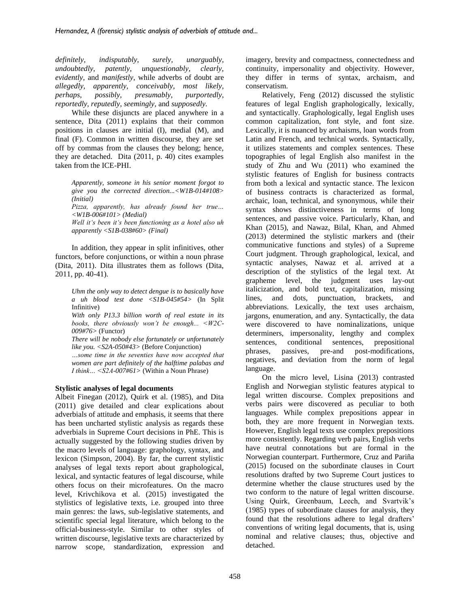*definitely, indisputably, surely, unarguably, undoubtedly, patently, unquestionably, clearly, evidently,* and *manifestly,* while adverbs of doubt are *allegedly, apparently, conceivably, most likely, perhaps, possibly, presumably, purportedly, reportedly, reputedly*, *seemingly,* and *supposedly.*

While these disjuncts are placed anywhere in a sentence, Dita (2011) explains that their common positions in clauses are initial (I), medial (M), and final (F). Common in written discourse, they are set off by commas from the clauses they belong; hence, they are detached. Dita (2011, p. 40) cites examples taken from the ICE-PHI.

*Apparently, someone in his senior moment forgot to give you the corrected direction...<W1B-014#108> (Initial)*

*Pizza, apparently, has already found her true… <W1B-006#101> (Medial)*

*Well it's been it's been functioning as a hotel also uh apparently <S1B-038#60> (Final)* 

In addition, they appear in split infinitives, other functors, before conjunctions, or within a noun phrase (Dita, 2011). Dita illustrates them as follows (Dita, 2011, pp. 40-41).

*Uhm the only way to detect dengue is to basically have a uh blood test done <S1B-045#54>* (In Split Infinitive)

*With only P13.3 billion worth of real estate in its books, there obviously won't be enough... <W2C-009#76>* (Functor)

*There will be nobody else fortunately or unfortunately like you. <S2A-050#43>* (Before Conjunction)

*…some time in the seventies have now accepted that women are part definitely of the halftime palabas and I think… <S2A-007#61>* (Within a Noun Phrase)

### **Stylistic analyses of legal documents**

Albeit Finegan (2012), Quirk et al. (1985), and Dita (2011) give detailed and clear explications about adverbials of attitude and emphasis, it seems that there has been uncharted stylistic analysis as regards these adverbials in Supreme Court decisions in PhE. This is actually suggested by the following studies driven by the macro levels of language: graphology, syntax, and lexicon (Simpson, 2004). By far, the current stylistic analyses of legal texts report about graphological, lexical, and syntactic features of legal discourse, while others focus on their microfeatures. On the macro level, Krivchikova et al. (2015) investigated the stylistics of legislative texts, i.e. grouped into three main genres: the laws, sub-legislative statements, and scientific special legal literature, which belong to the official-business-style. Similar to other styles of written discourse, legislative texts are characterized by narrow scope, standardization, expression and

imagery, brevity and compactness, connectedness and continuity, impersonality and objectivity. However, they differ in terms of syntax, archaism, and conservatism.

Relatively, Feng (2012) discussed the stylistic features of legal English graphologically, lexically, and syntactically. Graphologically, legal English uses common capitalization, font style, and font size. Lexically, it is nuanced by archaisms, loan words from Latin and French, and technical words. Syntactically, it utilizes statements and complex sentences. These topographies of legal English also manifest in the study of Zhu and Wu (2011) who examined the stylistic features of English for business contracts from both a lexical and syntactic stance. The lexicon of business contracts is characterized as formal, archaic, loan, technical, and synonymous, while their syntax shows distinctiveness in terms of long sentences, and passive voice. Particularly, Khan, and Khan (2015), and Nawaz, Bilal, Khan, and Ahmed (2013) determined the stylistic markers and (their communicative functions and styles) of a Supreme Court judgment. Through graphological, lexical, and syntactic analyses, Nawaz et al. arrived at a description of the stylistics of the legal text. At grapheme level, the judgment uses lay-out italicization, and bold text, capitalization, missing lines, and dots, punctuation, brackets, and abbreviations. Lexically, the text uses archaism, jargons, enumeration, and any. Syntactically, the data were discovered to have nominalizations, unique determiners, impersonality, lengthy and complex sentences, conditional sentences, prepositional phrases, passives, pre-and post-modifications, negatives, and deviation from the norm of legal language.

On the micro level, Lisina (2013) contrasted English and Norwegian stylistic features atypical to legal written discourse. Complex prepositions and verbs pairs were discovered as peculiar to both languages. While complex prepositions appear in both, they are more frequent in Norwegian texts. However, English legal texts use complex prepositions more consistently. Regarding verb pairs, English verbs have neutral connotations but are formal in the Norwegian counterpart. Furthermore, Cruz and Pariña (2015) focused on the subordinate clauses in Court resolutions drafted by two Supreme Court justices to determine whether the clause structures used by the two conform to the nature of legal written discourse. Using Quirk, Greenbaum, Leech, and Svartvik's (1985) types of subordinate clauses for analysis, they found that the resolutions adhere to legal drafters' conventions of writing legal documents, that is, using nominal and relative clauses; thus, objective and detached.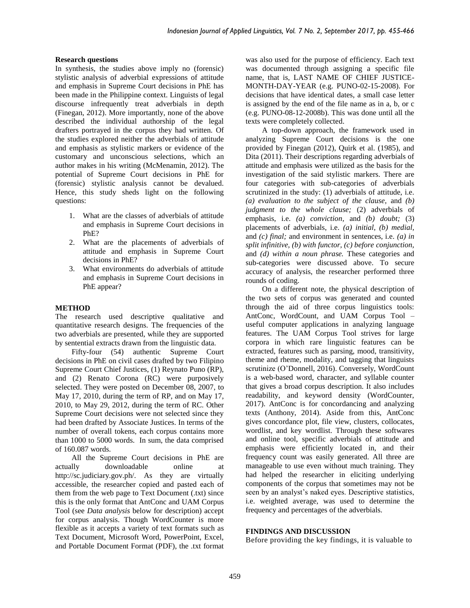### **Research questions**

In synthesis, the studies above imply no (forensic) stylistic analysis of adverbial expressions of attitude and emphasis in Supreme Court decisions in PhE has been made in the Philippine context. Linguists of legal discourse infrequently treat adverbials in depth (Finegan, 2012). More importantly, none of the above described the individual authorship of the legal drafters portrayed in the corpus they had written. Of the studies explored neither the adverbials of attitude and emphasis as stylistic markers or evidence of the customary and unconscious selections, which an author makes in his writing (McMenamin, 2012). The potential of Supreme Court decisions in PhE for (forensic) stylistic analysis cannot be devalued. Hence, this study sheds light on the following questions:

- 1. What are the classes of adverbials of attitude and emphasis in Supreme Court decisions in PhE?
- 2. What are the placements of adverbials of attitude and emphasis in Supreme Court decisions in PhE?
- 3. What environments do adverbials of attitude and emphasis in Supreme Court decisions in PhE appear?

### **METHOD**

The research used descriptive qualitative and quantitative research designs. The frequencies of the two adverbials are presented, while they are supported by sentential extracts drawn from the linguistic data.

Fifty-four (54) authentic Supreme Court decisions in PhE on civil cases drafted by two Filipino Supreme Court Chief Justices, (1) Reynato Puno (RP), and (2) Renato Corona (RC) were purposively selected. They were posted on December 08, 2007, to May 17, 2010, during the term of RP, and on May 17, 2010, to May 29, 2012, during the term of RC. Other Supreme Court decisions were not selected since they had been drafted by Associate Justices. In terms of the number of overall tokens, each corpus contains more than 1000 to 5000 words. In sum, the data comprised of 160.087 words.

All the Supreme Court decisions in PhE are actually downloadable online at http://sc.judiciary.gov.ph/. As they are virtually accessible, the researcher copied and pasted each of them from the web page to Text Document (.txt) since this is the only format that AntConc and UAM Corpus Tool (see *Data analysis* below for description) accept for corpus analysis. Though WordCounter is more flexible as it accepts a variety of text formats such as Text Document, Microsoft Word, PowerPoint, Excel, and Portable Document Format (PDF), the .txt format

was also used for the purpose of efficiency. Each text was documented through assigning a specific file name, that is, LAST NAME OF CHIEF JUSTICE-MONTH-DAY-YEAR (e.g. PUNO-02-15-2008). For decisions that have identical dates, a small case letter is assigned by the end of the file name as in a, b, or c (e.g. PUNO-08-12-2008b). This was done until all the texts were completely collected.

A top-down approach, the framework used in analyzing Supreme Court decisions is the one provided by Finegan (2012), Quirk et al. (1985), and Dita (2011). Their descriptions regarding adverbials of attitude and emphasis were utilized as the basis for the investigation of the said stylistic markers. There are four categories with sub-categories of adverbials scrutinized in the study: (1) adverbials of attitude, i.e. *(a) evaluation to the subject of the clause,* and *(b) judgment to the whole clause;* (2) adverbials of emphasis, i.e. *(a) conviction,* and *(b) doubt;* (3) placements of adverbials, i.e. *(a) initial, (b) medial,*  and *(c) final;* and environment in sentences, i.e. *(a) in split infinitive, (b) with functor, (c) before conjunction,* and *(d) within a noun phrase.* These categories and sub-categories were discussed above. To secure accuracy of analysis, the researcher performed three rounds of coding.

On a different note, the physical description of the two sets of corpus was generated and counted through the aid of three corpus linguistics tools: AntConc, WordCount, and UAM Corpus Tool – useful computer applications in analyzing language features. The UAM Corpus Tool strives for large corpora in which rare linguistic features can be extracted, features such as parsing, mood, transitivity, theme and rheme, modality, and tagging that linguists scrutinize (O'Donnell, 2016). Conversely, WordCount is a web-based word, character, and syllable counter that gives a broad corpus description. It also includes readability, and keyword density (WordCounter, 2017). AntConc is for concordancing and analyzing texts (Anthony, 2014). Aside from this, AntConc gives concordance plot, file view, clusters, collocates, wordlist, and key wordlist. Through these softwares and online tool, specific adverbials of attitude and emphasis were efficiently located in, and their frequency count was easily generated. All three are manageable to use even without much training. They had helped the researcher in eliciting underlying components of the corpus that sometimes may not be seen by an analyst's naked eyes. Descriptive statistics, i.e. weighted average, was used to determine the frequency and percentages of the adverbials.

### **FINDINGS AND DISCUSSION**

Before providing the key findings, it is valuable to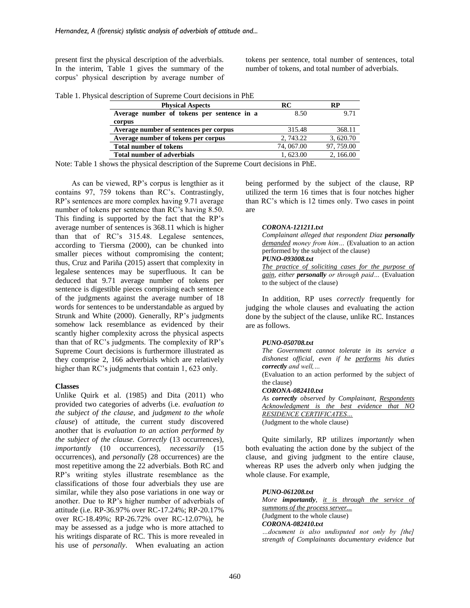present first the physical description of the adverbials. In the interim, Table 1 gives the summary of the corpus' physical description by average number of tokens per sentence, total number of sentences, total number of tokens, and total number of adverbials.

|  | Table 1. Physical description of Supreme Court decisions in PhE |  |  |
|--|-----------------------------------------------------------------|--|--|
|  |                                                                 |  |  |

| <b>Physical Aspects</b>                    | RC         | RP         |
|--------------------------------------------|------------|------------|
| Average number of tokens per sentence in a | 8.50       | 9.71       |
| corpus                                     |            |            |
| Average number of sentences per corpus     | 315.48     | 368.11     |
| Average number of tokens per corpus        | 2.743.22   | 3, 620.70  |
| <b>Total number of tokens</b>              | 74, 067.00 | 97, 759.00 |
| <b>Total number of adverbials</b>          | 1.623.00   | 2, 166.00  |
|                                            |            |            |

Note: Table 1 shows the physical description of the Supreme Court decisions in PhE.

As can be viewed, RP's corpus is lengthier as it contains 97, 759 tokens than RC's. Contrastingly, RP's sentences are more complex having 9.71 average number of tokens per sentence than RC's having 8.50. This finding is supported by the fact that the RP's average number of sentences is 368.11 which is higher than that of RC's 315.48. Legalese sentences, according to Tiersma (2000), can be chunked into smaller pieces without compromising the content; thus, Cruz and Pariña (2015) assert that complexity in legalese sentences may be superfluous. It can be deduced that 9.71 average number of tokens per sentence is digestible pieces comprising each sentence of the judgments against the average number of 18 words for sentences to be understandable as argued by Strunk and White (2000). Generally, RP's judgments somehow lack resemblance as evidenced by their scantly higher complexity across the physical aspects than that of RC's judgments. The complexity of RP's Supreme Court decisions is furthermore illustrated as they comprise 2, 166 adverbials which are relatively higher than RC's judgments that contain 1, 623 only.

### **Classes**

Unlike Quirk et al. (1985) and Dita (2011) who provided two categories of adverbs (i.e. *evaluation to the subject of the clause,* and *judgment to the whole clause*) of attitude, the current study discovered another that is *evaluation to an action performed by the subject of the clause. Correctly* (13 occurrences), *importantly* (10 occurrences), *necessarily* (15 occurrences), and *personally* (28 occurrences) are the most repetitive among the 22 adverbials. Both RC and RP's writing styles illustrate resemblance as the classifications of those four adverbials they use are similar, while they also pose variations in one way or another. Due to RP's higher number of adverbials of attitude (i.e. RP-36.97% over RC-17.24%; RP-20.17% over RC-18.49%; RP-26.72% over RC-12.07%), he may be assessed as a judge who is more attached to his writings disparate of RC. This is more revealed in his use of *personally*. When evaluating an action

being performed by the subject of the clause, RP utilized the term 16 times that is four notches higher than RC's which is 12 times only. Two cases in point are

#### *CORONA-121211.txt*

*Complainant alleged that respondent Diaz personally demanded money from him…* (Evaluation to an action performed by the subject of the clause) *PUNO-093008.txt*

*The practice of soliciting cases for the purpose of gain, either personally or through paid…* (Evaluation to the subject of the clause)

In addition, RP uses *correctly* frequently for judging the whole clauses and evaluating the action done by the subject of the clause, unlike RC. Instances are as follows.

### *PUNO-050708.txt*

| The Government cannot tolerate in its service a          |  |  |  |  |  |  |
|----------------------------------------------------------|--|--|--|--|--|--|
| dishonest official, even if he performs his duties       |  |  |  |  |  |  |
| <b>correctly</b> and well,                               |  |  |  |  |  |  |
| (Evaluation to an action performed by the subject of     |  |  |  |  |  |  |
| the clause)                                              |  |  |  |  |  |  |
| CORONA-082410.txt                                        |  |  |  |  |  |  |
| As <b>correctly</b> observed by Complainant, Respondents |  |  |  |  |  |  |
| Acknowledgment is the best evidence that NO              |  |  |  |  |  |  |
| <b>RESIDENCE CERTIFICATES</b>                            |  |  |  |  |  |  |
| (Judgment to the whole clause)                           |  |  |  |  |  |  |

Quite similarly, RP utilizes *importantly* when both evaluating the action done by the subject of the clause, and giving judgment to the entire clause, whereas RP uses the adverb only when judging the whole clause. For example,

#### *PUNO-061208.txt*

*More importantly, it is through the service of summons of the process server...*  (Judgment to the whole clause) *CORONA-082410.txt …document is also undisputed not only by [the]* 

*strength of Complainants documentary evidence but*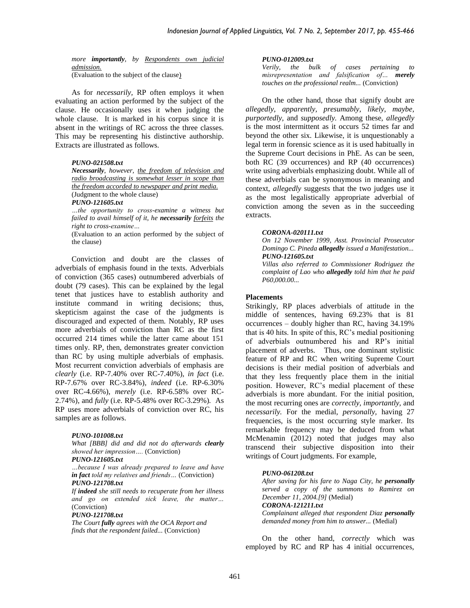*more importantly, by Respondents own judicial admission.*  (Evaluation to the subject of the clause)

As for *necessarily,* RP often employs it when evaluating an action performed by the subject of the clause. He occasionally uses it when judging the whole clause. It is marked in his corpus since it is absent in the writings of RC across the three classes. This may be representing his distinctive authorship. Extracts are illustrated as follows.

#### *PUNO-021508.txt*

*Necessarily, however, the freedom of television and radio broadcasting is somewhat lesser in scope than the freedom accorded to newspaper and print media.* (Judgment to the whole clause)

### *PUNO-121605.txt*

*…the opportunity to cross-examine a witness but failed to avail himself of it, he necessarily forfeits the right to cross-examine…*

(Evaluation to an action performed by the subject of the clause)

Conviction and doubt are the classes of adverbials of emphasis found in the texts. Adverbials of conviction (365 cases) outnumbered adverbials of doubt (79 cases). This can be explained by the legal tenet that justices have to establish authority and institute command in writing decisions; thus, skepticism against the case of the judgments is discouraged and expected of them. Notably, RP uses more adverbials of conviction than RC as the first occurred 214 times while the latter came about 151 times only. RP, then, demonstrates greater conviction than RC by using multiple adverbials of emphasis. Most recurrent conviction adverbials of emphasis are *clearly* (i.e. RP-7.40% over RC-7.40%), *in fact* (i.e. RP-7.67% over RC-3.84%)*, indeed* (i.e. RP-6.30% over RC-4.66%)*, merely* (i.e. RP-6.58% over RC-2.74%)*,* and *fully* (i.e. RP-5.48% over RC-3.29%)*.* As RP uses more adverbials of conviction over RC, his samples are as follows.

#### *PUNO-101008.txt*

*What [BBB] did and did not do afterwards clearly showed her impression….* (Conviction)

*PUNO-121605.txt*

*…because I was already prepared to leave and have in fact told my relatives and friends…* (Conviction) *PUNO-121708.txt*

*If indeed she still needs to recuperate from her illness and go on extended sick leave, the matter…* (Conviction)

### *PUNO-121708.txt*

*The Court fully agrees with the OCA Report and finds that the respondent failed...* (Conviction)

#### *PUNO-012009.txt*

*Verily, the bulk of cases pertaining to misrepresentation and falsification of… merely touches on the professional realm...* (Conviction)

On the other hand, those that signify doubt are *allegedly, apparently, presumably, likely, maybe, purportedly,* and *supposedly.* Among these, *allegedly* is the most intermittent as it occurs 52 times far and beyond the other six. Likewise, it is unquestionably a legal term in forensic science as it is used habitually in the Supreme Court decisions in PhE. As can be seen, both RC (39 occurrences) and RP (40 occurrences) write using adverbials emphasizing doubt. While all of these adverbials can be synonymous in meaning and context, *allegedly* suggests that the two judges use it as the most legalistically appropriate adverbial of conviction among the seven as in the succeeding extracts.

#### *CORONA-020111.txt*

*On 12 November 1999, Asst. Provincial Prosecutor Domingo C. Pineda allegedly issued a Manifestation... PUNO-121605.txt*

*Villas also referred to Commissioner Rodriguez the complaint of Lao who allegedly told him that he paid P60,000.00...*

#### **Placements**

Strikingly, RP places adverbials of attitude in the middle of sentences, having 69.23% that is 81 occurrences – doubly higher than RC, having 34.19% that is 40 hits. In spite of this, RC's medial positioning of adverbials outnumbered his and RP's initial placement of adverbs. Thus, one dominant stylistic feature of RP and RC when writing Supreme Court decisions is their medial position of adverbials and that they less frequently place them in the initial position. However, RC's medial placement of these adverbials is more abundant. For the initial position, the most recurring ones are *correctly, importantly,* and *necessarily.* For the medial, *personally,* having 27 frequencies, is the most occurring style marker. Its remarkable frequency may be deduced from what McMenamin (2012) noted that judges may also transcend their subjective disposition into their writings of Court judgments. For example,

#### *PUNO-061208.txt*

*After saving for his fare to Naga City, he personally served a copy of the summons to Ramirez on December 11, 2004.[9]* (Medial) *CORONA-121211.txt Complainant alleged that respondent Diaz personally*

*demanded money from him to answer...* (Medial)

On the other hand, *correctly* which was employed by RC and RP has 4 initial occurrences,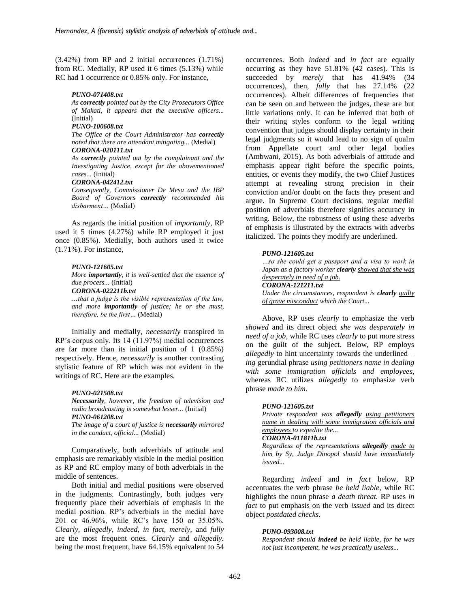(3.42%) from RP and 2 initial occurrences (1.71%) from RC. Medially, RP used it 6 times (5.13%) while RC had 1 occurrence or 0.85% only. For instance,

#### *PUNO-071408.txt*

*As correctly pointed out by the City Prosecutors Office of Makati, it appears that the executive officers...* (Initial)

### *PUNO-100608.txt*

*The Office of the Court Administrator has correctly noted that there are attendant mitigating...* (Medial) *CORONA-020111.txt*

*As correctly pointed out by the complainant and the Investigating Justice, except for the abovementioned cases...* (Initial)

#### *CORONA-042412.txt*

*Consequently, Commissioner De Mesa and the IBP Board of Governors correctly recommended his disbarment…* (Medial)

As regards the initial position of *importantly*, RP used it 5 times (4.27%) while RP employed it just once (0.85%). Medially, both authors used it twice (1.71%). For instance,

#### *PUNO-121605.txt*

*More importantly, it is well-settled that the essence of due process...* (Initial)

*CORONA-022211b.txt*

*…that a judge is the visible representation of the law, and more importantly of justice; he or she must, therefore, be the first…* (Medial)

Initially and medially, *necessarily* transpired in RP's corpus only. Its 14 (11.97%) medial occurrences are far more than its initial position of 1 (0.85%) respectively. Hence, *necessarily* is another contrasting stylistic feature of RP which was not evident in the writings of RC. Here are the examples.

#### *PUNO-021508.txt*

*Necessarily, however, the freedom of television and radio broadcasting is somewhat lesser...* (Initial) *PUNO-061208.txt*

*The image of a court of justice is necessarily mirrored in the conduct, official...* (Medial)

Comparatively, both adverbials of attitude and emphasis are remarkably visible in the medial position as RP and RC employ many of both adverbials in the middle of sentences.

Both initial and medial positions were observed in the judgments. Contrastingly, both judges very frequently place their adverbials of emphasis in the medial position. RP's adverbials in the medial have 201 or 46.96%, while RC's have 150 or 35.05%. *Clearly, allegedly, indeed, in fact, merely,* and *fully*  are the most frequent ones. *Clearly* and *allegedly.* being the most frequent, have 64.15% equivalent to 54

occurrences. Both *indeed* and *in fact* are equally occurring as they have 51.81% (42 cases). This is succeeded by *merely* that has 41.94% (34 occurrences), then, *fully* that has 27.14% (22 occurrences). Albeit differences of frequencies that can be seen on and between the judges, these are but little variations only. It can be inferred that both of their writing styles conform to the legal writing convention that judges should display certainty in their legal judgments so it would lead to no sign of qualm from Appellate court and other legal bodies (Ambwani, 2015). As both adverbials of attitude and emphasis appear right before the specific points, entities, or events they modify, the two Chief Justices attempt at revealing strong precision in their conviction and/or doubt on the facts they present and argue. In Supreme Court decisions, regular medial position of adverbials therefore signifies accuracy in writing. Below, the robustness of using these adverbs of emphasis is illustrated by the extracts with adverbs italicized. The points they modify are underlined.

#### *PUNO-121605.txt*

*…so she could get a passport and a visa to work in Japan as a factory worker clearly showed that she was desperately in need of a job. CORONA-121211.txt Under the circumstances, respondent is clearly guilty* 

*of grave misconduct which the Court...*

Above, RP uses *clearly* to emphasize the verb *showed* and its direct object *she was desperately in need of a job*, while RC uses *clearly* to put more stress on the guilt of the subject. Below, RP employs *allegedly* to hint uncertainty towards the underlined *– ing* gerundial phrase *using petitioners name in dealing with some immigration officials and employees,*  whereas RC utilizes *allegedly* to emphasize verb phrase *made to him.*

#### *PUNO-121605.txt*

*Private respondent was allegedly using petitioners name in dealing with some immigration officials and employees to expedite the... CORONA-011811b.txt Regardless of the representations allegedly made to* 

*him by Sy, Judge Dinopol should have immediately issued...*

Regarding *indeed* and *in fact* below*,* RP accentuates the verb phrase *be held liable,* while RC highlights the noun phrase *a death threat.* RP uses *in fact* to put emphasis on the verb *issued* and its direct object *postdated checks*.

#### *PUNO-093008.txt*

*Respondent should indeed be held liable, for he was not just incompetent, he was practically useless...*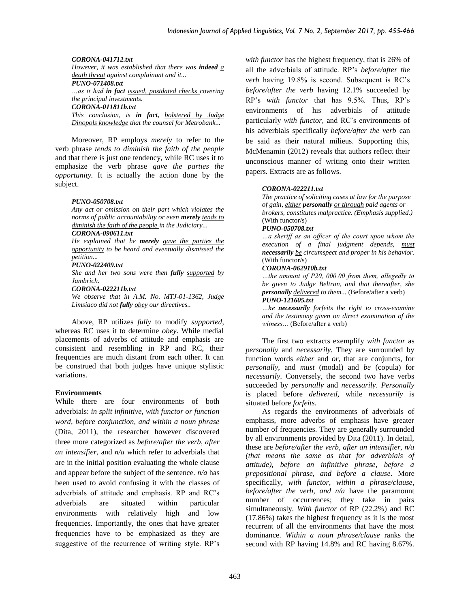### *CORONA-041712.txt*

*However, it was established that there was indeed a death threat against complainant and it...*

*PUNO-071408.txt …as it had in fact issued, postdated checks covering the principal investments.*

*CORONA-011811b.txt*

*This conclusion, is in fact, bolstered by Judge Dinopols knowledge that the counsel for Metrobank...*

Moreover, RP employs *merely* to refer to the verb phrase *tends to diminish the faith of the people*  and that there is just one tendency, while RC uses it to emphasize the verb phrase *gave the parties the opportunity.* It is actually the action done by the subject.

### *PUNO-050708.txt*

*Any act or omission on their part which violates the norms of public accountability or even merely tends to diminish the faith of the people in the Judiciary...*

### *CORONA-090611.txt*

*He explained that he merely gave the parties the opportunity to be heard and eventually dismissed the petition...*

### *PUNO-022409.txt*

*She and her two sons were then fully supported by Jambrich.*

*CORONA-022211b.txt*

*We observe that in A.M. No. MTJ-01-1362, Judge Limsiaco did not fully obey our directives..*

Above, RP utilizes *fully* to modify *supported*, whereas RC uses it to determine *obey*. While medial placements of adverbs of attitude and emphasis are consistent and resembling in RP and RC, their frequencies are much distant from each other. It can be construed that both judges have unique stylistic variations.

### **Environments**

While there are four environments of both adverbials: *in split infinitive, with functor or function word, before conjunction, and within a noun phrase*  (Dita, 2011), the researcher however discovered three more categorized as *before/after the verb, after an intensifier,* and *n/a* which refer to adverbials that are in the initial position evaluating the whole clause and appear before the subject of the sentence. *n/a* has been used to avoid confusing it with the classes of adverbials of attitude and emphasis. RP and RC's adverbials are situated within particular environments with relatively high and low frequencies. Importantly, the ones that have greater frequencies have to be emphasized as they are suggestive of the recurrence of writing style. RP's

*with functor* has the highest frequency, that is 26% of all the adverbials of attitude. RP's *before/after the verb* having 19.8% is second. Subsequent is RC's *before/after the verb* having 12.1% succeeded by RP's *with functor* that has 9.5%. Thus, RP's environments of his adverbials of attitude particularly *with functor,* and RC's environments of his adverbials specifically *before/after the verb* can be said as their natural milieus. Supporting this, McMenamin (2012) reveals that authors reflect their unconscious manner of writing onto their written papers. Extracts are as follows.

### *CORONA-022211.txt*

*The practice of soliciting cases at law for the purpose of gain, either personally or through paid agents or brokers, constitutes malpractice. (Emphasis supplied.)*  (With functor/s)

### *PUNO-050708.txt*

*…a sheriff as an officer of the court upon whom the execution of a final judgment depends, must necessarily be circumspect and proper in his behavior.*  (With functor/s)

### *CORONA-062910b.txt*

*…the amount of P20, 000.00 from them, allegedly to be given to Judge Beltran, and that thereafter, she personally delivered to them...* (Before/after a verb) *PUNO-121605.txt*

*…he necessarily forfeits the right to cross-examine and the testimony given on direct examination of the witness…* (Before/after a verb)

The first two extracts exemplify *with functor* as *personally* and *necessarily.* They are surrounded by function words *either* and *or,* that are conjuncts, for *personally*, and *must* (modal) and *be* (copula) for *necessarily*. Conversely, the second two have verbs succeeded by *personally* and *necessarily*. *Personally* is placed before *delivered*, while *necessarily* is situated before *forfeits*.

As regards the environments of adverbials of emphasis, more adverbs of emphasis have greater number of frequencies. They are generally surrounded by all environments provided by Dita (2011). In detail, these are *before/after the verb, after an intensifier, n/a (that means the same as that for adverbials of attitude), before an infinitive phrase, before a prepositional phrase, and before a clause.* More specifically, *with functor, within a phrase/clause, before/after the verb, and n/a* have the paramount number of occurrences; they take in pairs simultaneously. *With functor* of RP (22.2%) and RC (17.86%) takes the highest frequency as it is the most recurrent of all the environments that have the most dominance. *Within a noun phrase/clause* ranks the second with RP having 14.8% and RC having 8.67%.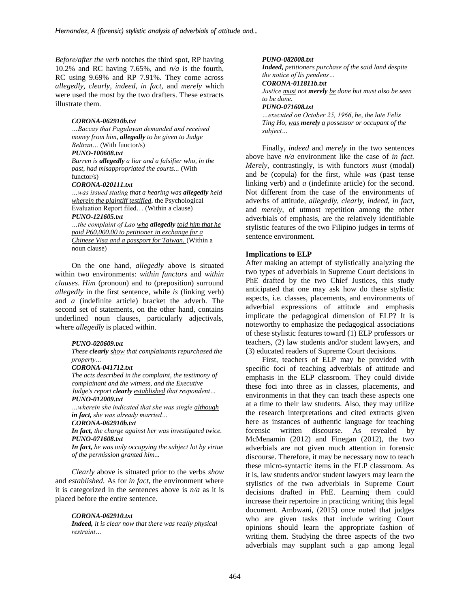*Before/after the verb* notches the third spot, RP having 10.2% and RC having 7.65%, and *n/a* is the fourth, RC using 9.69% and RP 7.91%. They come across *allegedly, clearly, indeed, in fact,* and *merely* which were used the most by the two drafters. These extracts illustrate them.

#### *CORONA-062910b.txt*

*…Baccay that Pagulayan demanded and received money from him, allegedly to be given to Judge Beltran…* (With functor/s)

## *PUNO-100608.txt*

*Barren is allegedly a liar and a falsifier who, in the past, had misappropriated the courts...* (With functor/s)

#### *CORONA-020111.txt*

*…was issued stating that a hearing was allegedly held wherein the plaintiff testified,* the Psychological Evaluation Report filed… (Within a clause) *PUNO-121605.txt*

*…the complaint of Lao who allegedly told him that he paid P60,000.00 to petitioner in exchange for a Chinese Visa and a passport for Taiwan.* (Within a noun clause)

On the one hand, *allegedly* above is situated within two environments: *within functors* and *within clauses*. *Him* (pronoun) and *to* (preposition) surround *allegedly* in the first sentence, while *is* (linking verb) and *a* (indefinite article) bracket the adverb. The second set of statements, on the other hand, contains underlined noun clauses, particularly adjectivals, where *allegedly* is placed within.

#### *PUNO-020609.txt*

*These clearly show that complainants repurchased the property…*

#### *CORONA-041712.txt*

*The acts described in the complaint, the testimony of complainant and the witness, and the Executive Judge's report clearly established that respondent… PUNO-012009.txt*

*…wherein she indicated that she was single although*

### *in fact, she was already married…*

*CORONA-062910b.txt*

*In fact, the charge against her was investigated twice. PUNO-071608.txt*

*In fact, he was only occupying the subject lot by virtue of the permission granted him...*

*Clearly* above is situated prior to the verbs *show* and *established.* As for *in fact,* the environment where it is categorized in the sentences above is *n/a* as it is placed before the entire sentence.

#### *CORONA-062910.txt*

*Indeed, it is clear now that there was really physical restraint…*

#### *PUNO-082008.txt*

*Indeed, petitioners purchase of the said land despite the notice of lis pendens…*

### *CORONA-011811b.txt*

*Justice must not merely be done but must also be seen to be done.*

#### *PUNO-071608.txt*

*…executed on October 25, 1966, he, the late Felix Ting Ho, was merely a possessor or occupant of the subject…*

Finally, *indeed* and *merely* in the two sentences above have *n/a* environment like the case of *in fact. Merely*, contrastingly, is with functors *must* (modal) and *be* (copula) for the first, while *was* (past tense linking verb) and *a* (indefinite article) for the second. Not different from the case of the environments of adverbs of attitude, *allegedly, clearly, indeed, in fact,* and *merely,* of utmost repetition among the other adverbials of emphasis, are the relatively identifiable stylistic features of the two Filipino judges in terms of sentence environment.

### **Implications to ELP**

After making an attempt of stylistically analyzing the two types of adverbials in Supreme Court decisions in PhE drafted by the two Chief Justices, this study anticipated that one may ask how do these stylistic aspects, i.e. classes, placements, and environments of adverbial expressions of attitude and emphasis implicate the pedagogical dimension of ELP? It is noteworthy to emphasize the pedagogical associations of these stylistic features toward (1) ELP professors or teachers, (2) law students and/or student lawyers, and (3) educated readers of Supreme Court decisions.

First, teachers of ELP may be provided with specific foci of teaching adverbials of attitude and emphasis in the ELP classroom. They could divide these foci into three as in classes, placements, and environments in that they can teach these aspects one at a time to their law students. Also, they may utilize the research interpretations and cited extracts given here as instances of authentic language for teaching forensic written discourse. As revealed by McMenamin (2012) and Finegan (2012), the two adverbials are not given much attention in forensic discourse. Therefore, it may be necessary now to teach these micro-syntactic items in the ELP classroom. As it is, law students and/or student lawyers may learn the stylistics of the two adverbials in Supreme Court decisions drafted in PhE. Learning them could increase their repertoire in practicing writing this legal document. Ambwani, (2015) once noted that judges who are given tasks that include writing Court opinions should learn the appropriate fashion of writing them. Studying the three aspects of the two adverbials may supplant such a gap among legal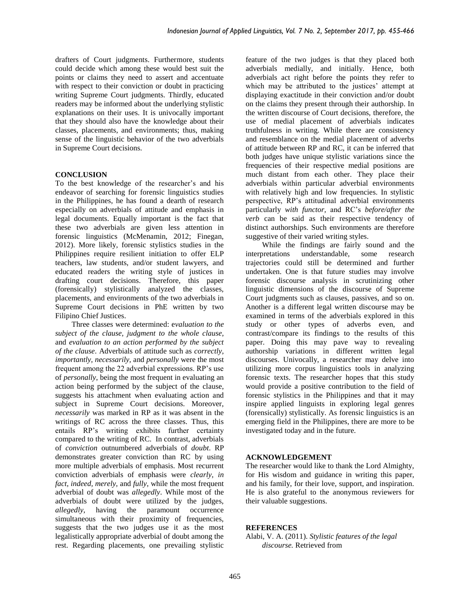drafters of Court judgments. Furthermore, students could decide which among these would best suit the points or claims they need to assert and accentuate with respect to their conviction or doubt in practicing writing Supreme Court judgments. Thirdly, educated readers may be informed about the underlying stylistic explanations on their uses. It is univocally important that they should also have the knowledge about their classes, placements, and environments; thus, making sense of the linguistic behavior of the two adverbials in Supreme Court decisions.

### **CONCLUSION**

To the best knowledge of the researcher's and his endeavor of searching for forensic linguistics studies in the Philippines, he has found a dearth of research especially on adverbials of attitude and emphasis in legal documents. Equally important is the fact that these two adverbials are given less attention in forensic linguistics (McMenamin, 2012; Finegan, 2012). More likely, forensic stylistics studies in the Philippines require resilient initiation to offer ELP teachers, law students, and/or student lawyers, and educated readers the writing style of justices in drafting court decisions. Therefore, this paper (forensically) stylistically analyzed the classes, placements, and environments of the two adverbials in Supreme Court decisions in PhE written by two Filipino Chief Justices.

Three classes were determined: e*valuation to the subject of the clause, judgment to the whole clause,* and *evaluation to an action performed by the subject of the clause*. Adverbials of attitude such as *correctly, importantly, necessarily,* and *personally* were the most frequent among the 22 adverbial expressions. RP's use of *personally*, being the most frequent in evaluating an action being performed by the subject of the clause, suggests his attachment when evaluating action and subject in Supreme Court decisions. Moreover, *necessarily* was marked in RP as it was absent in the writings of RC across the three classes. Thus, this entails RP's writing exhibits further certainty compared to the writing of RC. In contrast, adverbials of *conviction* outnumbered adverbials of *doubt*. RP demonstrates greater conviction than RC by using more multiple adverbials of emphasis. Most recurrent conviction adverbials of emphasis were *clearly, in fact, indeed, merely,* and *fully*, while the most frequent adverbial of doubt was *allegedly*. While most of the adverbials of doubt were utilized by the judges, *allegedly*, having the paramount occurrence simultaneous with their proximity of frequencies, suggests that the two judges use it as the most legalistically appropriate adverbial of doubt among the rest. Regarding placements, one prevailing stylistic

feature of the two judges is that they placed both adverbials medially, and initially. Hence, both adverbials act right before the points they refer to which may be attributed to the justices' attempt at displaying exactitude in their conviction and/or doubt on the claims they present through their authorship. In the written discourse of Court decisions, therefore, the use of medial placement of adverbials indicates truthfulness in writing. While there are consistency and resemblance on the medial placement of adverbs of attitude between RP and RC, it can be inferred that both judges have unique stylistic variations since the frequencies of their respective medial positions are much distant from each other. They place their adverbials within particular adverbial environments with relatively high and low frequencies. In stylistic perspective, RP's attitudinal adverbial environments particularly *with functor,* and RC's *before/after the verb* can be said as their respective tendency of distinct authorships. Such environments are therefore suggestive of their varied writing styles.

While the findings are fairly sound and the interpretations understandable, some research trajectories could still be determined and further undertaken. One is that future studies may involve forensic discourse analysis in scrutinizing other linguistic dimensions of the discourse of Supreme Court judgments such as clauses, passives, and so on. Another is a different legal written discourse may be examined in terms of the adverbials explored in this study or other types of adverbs even, and contrast/compare its findings to the results of this paper. Doing this may pave way to revealing authorship variations in different written legal discourses. Univocally, a researcher may delve into utilizing more corpus linguistics tools in analyzing forensic texts. The researcher hopes that this study would provide a positive contribution to the field of forensic stylistics in the Philippines and that it may inspire applied linguists in exploring legal genres (forensically) stylistically. As forensic linguistics is an emerging field in the Philippines, there are more to be investigated today and in the future.

### **ACKNOWLEDGEMENT**

The researcher would like to thank the Lord Almighty, for His wisdom and guidance in writing this paper, and his family, for their love, support, and inspiration. He is also grateful to the anonymous reviewers for their valuable suggestions.

### **REFERENCES**

Alabi, V. A. (2011). *Stylistic features of the legal discourse.* Retrieved from